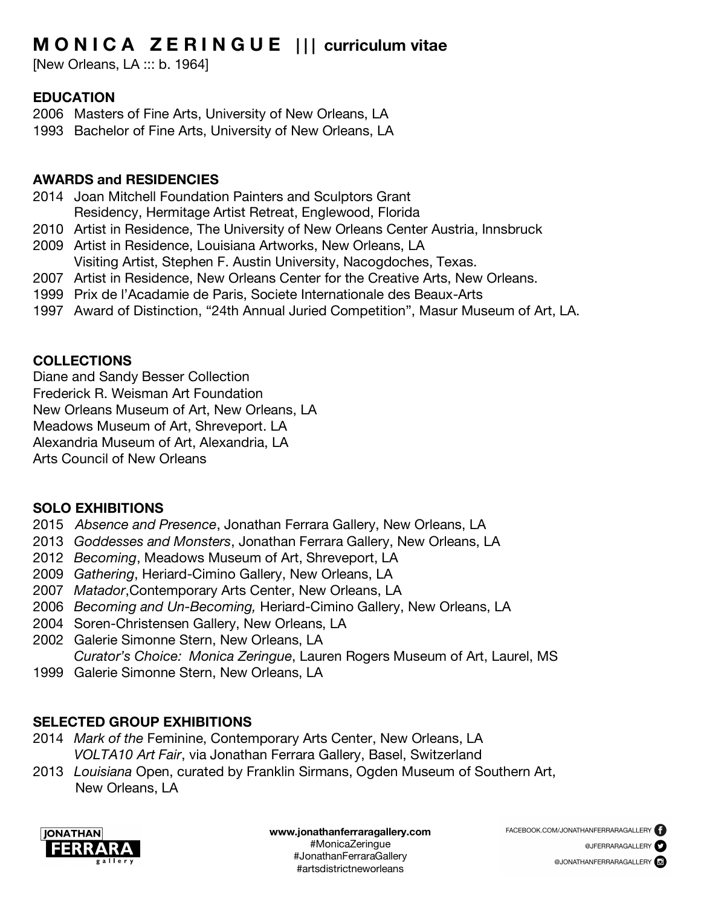# **M O N I C A Z E R I N G U E | | | curriculum vitae**

[New Orleans, LA ::: b. 1964]

### **EDUCATION**

- 2006 Masters of Fine Arts, University of New Orleans, LA
- 1993 Bachelor of Fine Arts, University of New Orleans, LA

#### **AWARDS and RESIDENCIES**

- 2014 Joan Mitchell Foundation Painters and Sculptors Grant Residency, Hermitage Artist Retreat, Englewood, Florida
- 2010 Artist in Residence, The University of New Orleans Center Austria, Innsbruck
- 2009 Artist in Residence, Louisiana Artworks, New Orleans, LA Visiting Artist, Stephen F. Austin University, Nacogdoches, Texas.
- 2007 Artist in Residence, New Orleans Center for the Creative Arts, New Orleans.
- 1999 Prix de l'Acadamie de Paris, Societe Internationale des Beaux-Arts
- 1997 Award of Distinction, "24th Annual Juried Competition", Masur Museum of Art, LA.

### **COLLECTIONS**

Diane and Sandy Besser Collection

Frederick R. Weisman Art Foundation

New Orleans Museum of Art, New Orleans, LA

Meadows Museum of Art, Shreveport. LA

Alexandria Museum of Art, Alexandria, LA

Arts Council of New Orleans

#### **SOLO EXHIBITIONS**

- 2015 *Absence and Presence*, Jonathan Ferrara Gallery, New Orleans, LA
- 2013 *Goddesses and Monsters*, Jonathan Ferrara Gallery, New Orleans, LA
- 2012 *Becoming*, Meadows Museum of Art, Shreveport, LA
- 2009 *Gathering*, Heriard-Cimino Gallery, New Orleans, LA
- 2007 *Matador*,Contemporary Arts Center, New Orleans, LA
- 2006 *Becoming and Un-Becoming,* Heriard-Cimino Gallery, New Orleans, LA
- 2004 Soren-Christensen Gallery, New Orleans, LA
- 2002 Galerie Simonne Stern, New Orleans, LA
- *Curator's Choice: Monica Zeringue*, Lauren Rogers Museum of Art, Laurel, MS
- 1999 Galerie Simonne Stern, New Orleans, LA

## **SELECTED GROUP EXHIBITIONS**

- 2014 *Mark of the* Feminine, Contemporary Arts Center, New Orleans, LA *VOLTA10 Art Fair*, via Jonathan Ferrara Gallery, Basel, Switzerland
- 2013 *Louisiana* Open, curated by Franklin Sirmans, Ogden Museum of Southern Art, New Orleans, LA

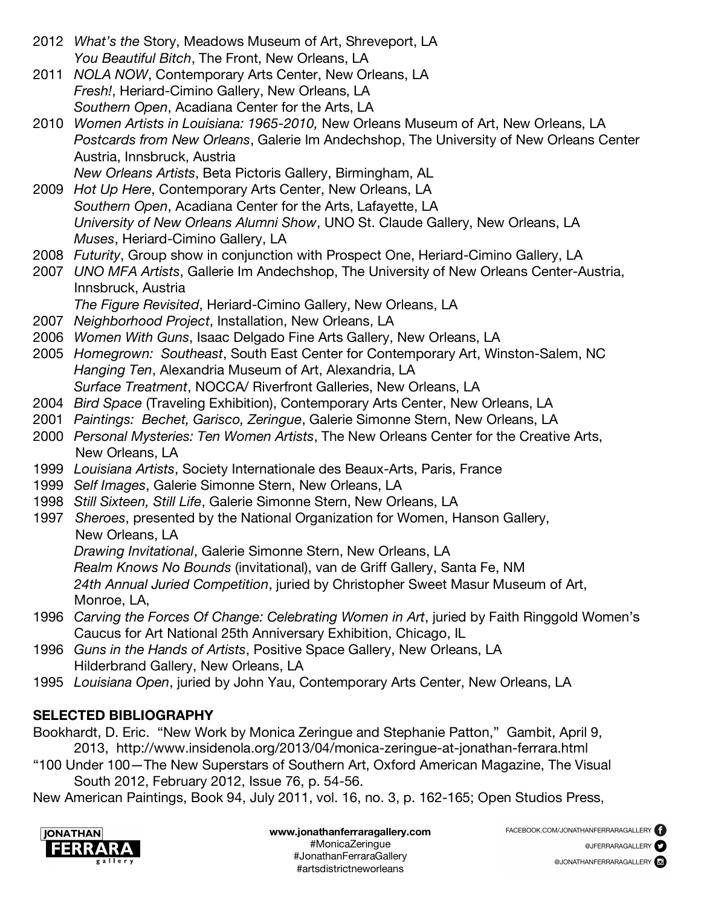- 2012 *What's the* Story, Meadows Museum of Art, Shreveport, LA *You Beautiful Bitch*, The Front, New Orleans, LA
- 2011 *NOLA NOW*, Contemporary Arts Center, New Orleans, LA *Fresh!*, Heriard-Cimino Gallery, New Orleans, LA *Southern Open*, Acadiana Center for the Arts, LA
- 2010 *Women Artists in Louisiana: 1965-2010,* New Orleans Museum of Art, New Orleans, LA *Postcards from New Orleans*, Galerie Im Andechshop, The University of New Orleans Center Austria, Innsbruck, Austria
	- *New Orleans Artists*, Beta Pictoris Gallery, Birmingham, AL
- 2009 *Hot Up Here*, Contemporary Arts Center, New Orleans, LA *Southern Open*, Acadiana Center for the Arts, Lafayette, LA *University of New Orleans Alumni Show*, UNO St. Claude Gallery, New Orleans, LA *Muses*, Heriard-Cimino Gallery, LA
- 2008 *Futurity*, Group show in conjunction with Prospect One, Heriard-Cimino Gallery, LA
- 2007 *UNO MFA Artists*, Gallerie Im Andechshop, The University of New Orleans Center-Austria, Innsbruck, Austria
	- *The Figure Revisited*, Heriard-Cimino Gallery, New Orleans, LA
- 2007 *Neighborhood Project*, Installation, New Orleans, LA
- 2006 *Women With Guns*, Isaac Delgado Fine Arts Gallery, New Orleans, LA
- 2005 *Homegrown: Southeast*, South East Center for Contemporary Art, Winston-Salem, NC *Hanging Ten*, Alexandria Museum of Art, Alexandria, LA *Surface Treatment*, NOCCA/ Riverfront Galleries, New Orleans, LA
- 2004 *Bird Space* (Traveling Exhibition), Contemporary Arts Center, New Orleans, LA
- 2001 *Paintings: Bechet, Garisco, Zeringue*, Galerie Simonne Stern, New Orleans, LA
- 2000 *Personal Mysteries: Ten Women Artists*, The New Orleans Center for the Creative Arts, New Orleans, LA
- 1999 *Louisiana Artists*, Society Internationale des Beaux-Arts, Paris, France
- 1999 *Self Images*, Galerie Simonne Stern, New Orleans, LA
- 1998 *Still Sixteen, Still Life*, Galerie Simonne Stern, New Orleans, LA
- 1997 *Sheroes*, presented by the National Organization for Women, Hanson Gallery, New Orleans, LA

*Drawing Invitational*, Galerie Simonne Stern, New Orleans, LA

*Realm Knows No Bounds* (invitational), van de Griff Gallery, Santa Fe, NM

*24th Annual Juried Competition*, juried by Christopher Sweet Masur Museum of Art, Monroe, LA,

- 1996 *Carving the Forces Of Change: Celebrating Women in Art*, juried by Faith Ringgold Women's Caucus for Art National 25th Anniversary Exhibition, Chicago, IL
- 1996 *Guns in the Hands of Artists*, Positive Space Gallery, New Orleans, LA Hilderbrand Gallery, New Orleans, LA
- 1995 *Louisiana Open*, juried by John Yau, Contemporary Arts Center, New Orleans, LA

# **SELECTED BIBLIOGRAPHY**

Bookhardt, D. Eric. "New Work by Monica Zeringue and Stephanie Patton," Gambit, April 9, 2013, http://www.insidenola.org/2013/04/monica-zeringue-at-jonathan-ferrara.html

"100 Under 100—The New Superstars of Southern Art, Oxford American Magazine, The Visual South 2012, February 2012, Issue 76, p. 54-56.

New American Paintings, Book 94, July 2011, vol. 16, no. 3, p. 162-165; Open Studios Press,

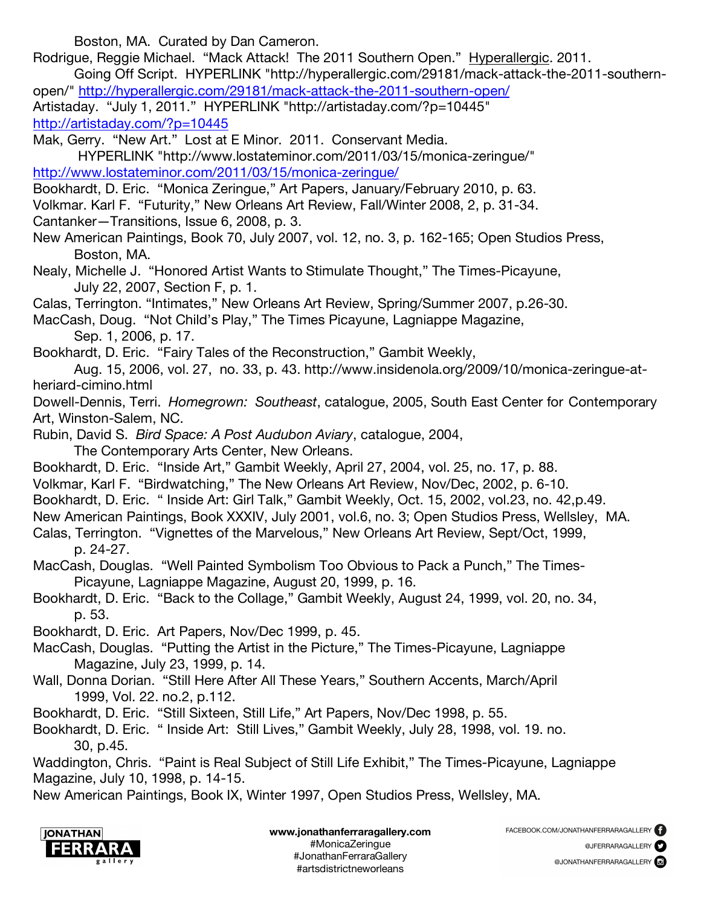Boston, MA. Curated by Dan Cameron.

- Rodrigue, Reggie Michael. "Mack Attack! The 2011 Southern Open." Hyperallergic. 2011. Going Off Script. HYPERLINK "http://hyperallergic.com/29181/mack-attack-the-2011-southern-
- open/" http://hyperallergic.com/29181/mack-attack-the-2011-southern-open/ Artistaday. "July 1, 2011." HYPERLINK "http://artistaday.com/?p=10445" http://artistaday.com/?p=10445

Mak, Gerry. "New Art." Lost at E Minor. 2011. Conservant Media.

HYPERLINK "http://www.lostateminor.com/2011/03/15/monica-zeringue/" http://www.lostateminor.com/2011/03/15/monica-zeringue/

- Bookhardt, D. Eric. "Monica Zeringue," Art Papers, January/February 2010, p. 63.
- Volkmar. Karl F. "Futurity," New Orleans Art Review, Fall/Winter 2008, 2, p. 31-34.

Cantanker—Transitions, Issue 6, 2008, p. 3.

New American Paintings, Book 70, July 2007, vol. 12, no. 3, p. 162-165; Open Studios Press, Boston, MA.

Nealy, Michelle J. "Honored Artist Wants to Stimulate Thought," The Times-Picayune, July 22, 2007, Section F, p. 1.

Calas, Terrington. "Intimates," New Orleans Art Review, Spring/Summer 2007, p.26-30.

MacCash, Doug. "Not Child's Play," The Times Picayune, Lagniappe Magazine, Sep. 1, 2006, p. 17.

Bookhardt, D. Eric. "Fairy Tales of the Reconstruction," Gambit Weekly,

Aug. 15, 2006, vol. 27, no. 33, p. 43. http://www.insidenola.org/2009/10/monica-zeringue-atheriard-cimino.html

Dowell-Dennis, Terri. *Homegrown: Southeast*, catalogue, 2005, South East Center for Contemporary Art, Winston-Salem, NC.

Rubin, David S. *Bird Space: A Post Audubon Aviary*, catalogue, 2004, The Contemporary Arts Center, New Orleans.

Bookhardt, D. Eric. "Inside Art," Gambit Weekly, April 27, 2004, vol. 25, no. 17, p. 88.

- Volkmar, Karl F. "Birdwatching," The New Orleans Art Review, Nov/Dec, 2002, p. 6-10.
- Bookhardt, D. Eric. " Inside Art: Girl Talk," Gambit Weekly, Oct. 15, 2002, vol.23, no. 42,p.49.

New American Paintings, Book XXXIV, July 2001, vol.6, no. 3; Open Studios Press, Wellsley, MA.

Calas, Terrington. "Vignettes of the Marvelous," New Orleans Art Review, Sept/Oct, 1999, p. 24-27.

MacCash, Douglas. "Well Painted Symbolism Too Obvious to Pack a Punch," The Times-Picayune, Lagniappe Magazine, August 20, 1999, p. 16.

Bookhardt, D. Eric. "Back to the Collage," Gambit Weekly, August 24, 1999, vol. 20, no. 34, p. 53.

Bookhardt, D. Eric. Art Papers, Nov/Dec 1999, p. 45.

MacCash, Douglas. "Putting the Artist in the Picture," The Times-Picayune, Lagniappe Magazine, July 23, 1999, p. 14.

Wall, Donna Dorian. "Still Here After All These Years," Southern Accents, March/April 1999, Vol. 22. no.2, p.112.

Bookhardt, D. Eric. "Still Sixteen, Still Life," Art Papers, Nov/Dec 1998, p. 55.

Bookhardt, D. Eric. " Inside Art: Still Lives," Gambit Weekly, July 28, 1998, vol. 19. no. 30, p.45.

Waddington, Chris. "Paint is Real Subject of Still Life Exhibit," The Times-Picayune, Lagniappe Magazine, July 10, 1998, p. 14-15.

New American Paintings, Book IX, Winter 1997, Open Studios Press, Wellsley, MA.